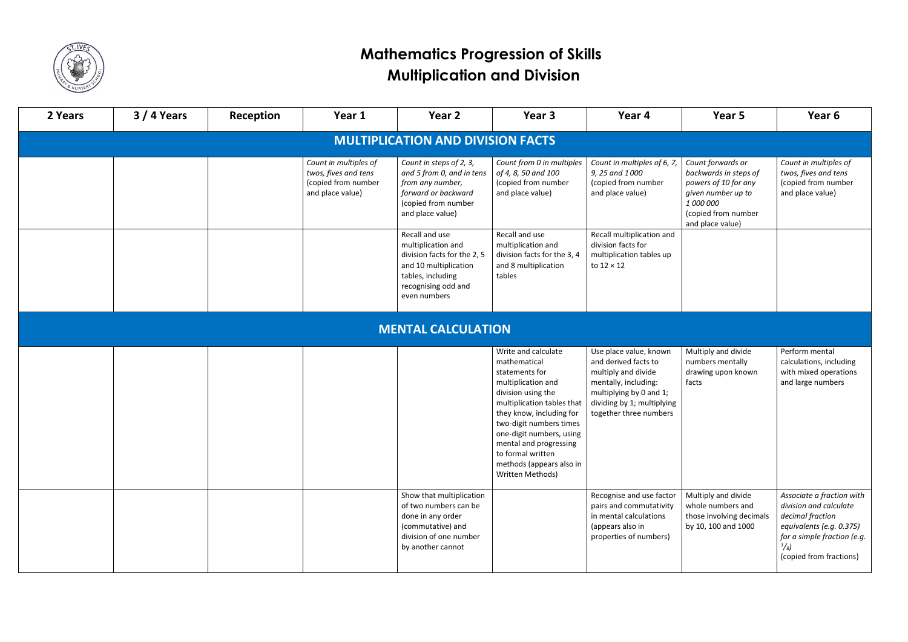

| 2 Years                                  | $3/4$ Years               | Reception | Year 1                                                                                   | Year 2                                                                                                                                                   | Year 3                                                                                                                                                                                                                                                                                                            | Year 4                                                                                                                                                                           | Year 5                                                                                                                                           | Year 6                                                                                                                                                                         |  |  |
|------------------------------------------|---------------------------|-----------|------------------------------------------------------------------------------------------|----------------------------------------------------------------------------------------------------------------------------------------------------------|-------------------------------------------------------------------------------------------------------------------------------------------------------------------------------------------------------------------------------------------------------------------------------------------------------------------|----------------------------------------------------------------------------------------------------------------------------------------------------------------------------------|--------------------------------------------------------------------------------------------------------------------------------------------------|--------------------------------------------------------------------------------------------------------------------------------------------------------------------------------|--|--|
| <b>MULTIPLICATION AND DIVISION FACTS</b> |                           |           |                                                                                          |                                                                                                                                                          |                                                                                                                                                                                                                                                                                                                   |                                                                                                                                                                                  |                                                                                                                                                  |                                                                                                                                                                                |  |  |
|                                          |                           |           | Count in multiples of<br>twos, fives and tens<br>(copied from number<br>and place value) | Count in steps of 2, 3,<br>and 5 from 0, and in tens<br>from any number,<br>forward or backward<br>(copied from number<br>and place value)               | Count from 0 in multiples<br>of 4, 8, 50 and 100<br>(copied from number<br>and place value)                                                                                                                                                                                                                       | Count in multiples of 6, 7,<br>9, 25 and 1000<br>(copied from number<br>and place value)                                                                                         | Count forwards or<br>backwards in steps of<br>powers of 10 for any<br>given number up to<br>1 000 000<br>(copied from number<br>and place value) | Count in multiples of<br>twos, fives and tens<br>(copied from number<br>and place value)                                                                                       |  |  |
|                                          |                           |           |                                                                                          | Recall and use<br>multiplication and<br>division facts for the 2, 5<br>and 10 multiplication<br>tables, including<br>recognising odd and<br>even numbers | Recall and use<br>multiplication and<br>division facts for the 3, 4<br>and 8 multiplication<br>tables                                                                                                                                                                                                             | Recall multiplication and<br>division facts for<br>multiplication tables up<br>to $12 \times 12$                                                                                 |                                                                                                                                                  |                                                                                                                                                                                |  |  |
|                                          | <b>MENTAL CALCULATION</b> |           |                                                                                          |                                                                                                                                                          |                                                                                                                                                                                                                                                                                                                   |                                                                                                                                                                                  |                                                                                                                                                  |                                                                                                                                                                                |  |  |
|                                          |                           |           |                                                                                          |                                                                                                                                                          | Write and calculate<br>mathematical<br>statements for<br>multiplication and<br>division using the<br>multiplication tables that<br>they know, including for<br>two-digit numbers times<br>one-digit numbers, using<br>mental and progressing<br>to formal written<br>methods (appears also in<br>Written Methods) | Use place value, known<br>and derived facts to<br>multiply and divide<br>mentally, including:<br>multiplying by 0 and 1;<br>dividing by 1; multiplying<br>together three numbers | Multiply and divide<br>numbers mentally<br>drawing upon known<br>facts                                                                           | Perform mental<br>calculations, including<br>with mixed operations<br>and large numbers                                                                                        |  |  |
|                                          |                           |           |                                                                                          | Show that multiplication<br>of two numbers can be<br>done in any order<br>(commutative) and<br>division of one number<br>by another cannot               |                                                                                                                                                                                                                                                                                                                   | Recognise and use factor<br>pairs and commutativity<br>in mental calculations<br>(appears also in<br>properties of numbers)                                                      | Multiply and divide<br>whole numbers and<br>those involving decimals<br>by 10, 100 and 1000                                                      | Associate a fraction with<br>division and calculate<br>decimal fraction<br>equivalents (e.g. 0.375)<br>for a simple fraction (e.g.<br>$^{3}/_{8}$ )<br>(copied from fractions) |  |  |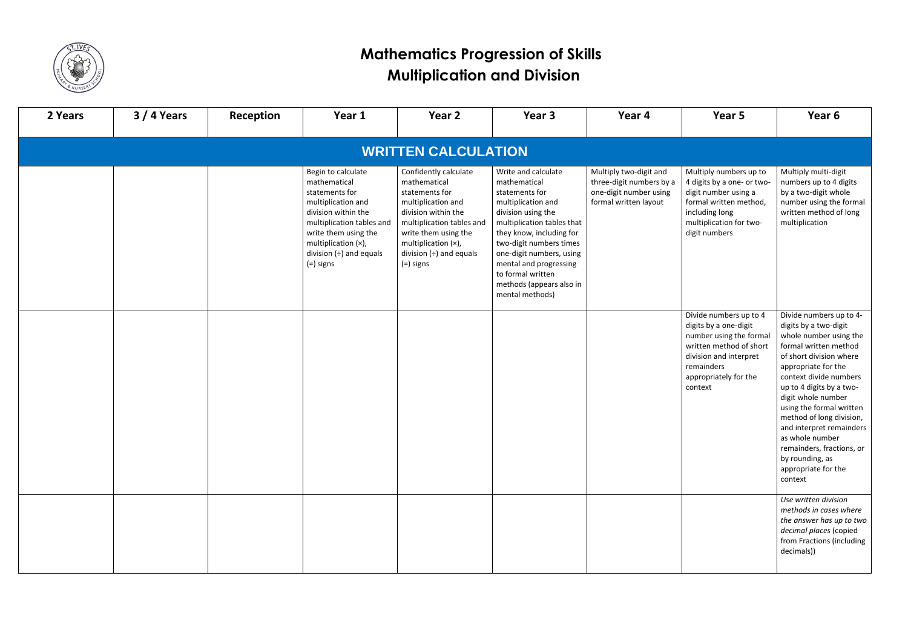

| 2 Years | $3/4$ Years | Reception | Year 1                                                                                                                                                                                                                     | Year 2                                                                                                                                                                                                                          | Year 3                                                                                                                                                                                                                                                                                                           | Year 4                                                                                                | Year 5                                                                                                                                                                            | Year 6                                                                                                                                                                                                                                                                                                                                                                                                                     |
|---------|-------------|-----------|----------------------------------------------------------------------------------------------------------------------------------------------------------------------------------------------------------------------------|---------------------------------------------------------------------------------------------------------------------------------------------------------------------------------------------------------------------------------|------------------------------------------------------------------------------------------------------------------------------------------------------------------------------------------------------------------------------------------------------------------------------------------------------------------|-------------------------------------------------------------------------------------------------------|-----------------------------------------------------------------------------------------------------------------------------------------------------------------------------------|----------------------------------------------------------------------------------------------------------------------------------------------------------------------------------------------------------------------------------------------------------------------------------------------------------------------------------------------------------------------------------------------------------------------------|
|         |             |           |                                                                                                                                                                                                                            | <b>WRITTEN CALCULATION</b>                                                                                                                                                                                                      |                                                                                                                                                                                                                                                                                                                  |                                                                                                       |                                                                                                                                                                                   |                                                                                                                                                                                                                                                                                                                                                                                                                            |
|         |             |           | Begin to calculate<br>mathematical<br>statements for<br>multiplication and<br>division within the<br>multiplication tables and<br>write them using the<br>multiplication (x),<br>division $(\div)$ and equals<br>(=) signs | Confidently calculate<br>mathematical<br>statements for<br>multiplication and<br>division within the<br>multiplication tables and<br>write them using the<br>multiplication (x),<br>division $(\div)$ and equals<br>$(=)$ signs | Write and calculate<br>mathematical<br>statements for<br>multiplication and<br>division using the<br>multiplication tables that<br>they know, including for<br>two-digit numbers times<br>one-digit numbers, using<br>mental and progressing<br>to formal written<br>methods (appears also in<br>mental methods) | Multiply two-digit and<br>three-digit numbers by a<br>one-digit number using<br>formal written layout | Multiply numbers up to<br>4 digits by a one- or two-<br>digit number using a<br>formal written method,<br>including long<br>multiplication for two-<br>digit numbers              | Multiply multi-digit<br>numbers up to 4 digits<br>by a two-digit whole<br>number using the formal<br>written method of long<br>multiplication                                                                                                                                                                                                                                                                              |
|         |             |           |                                                                                                                                                                                                                            |                                                                                                                                                                                                                                 |                                                                                                                                                                                                                                                                                                                  |                                                                                                       | Divide numbers up to 4<br>digits by a one-digit<br>number using the formal<br>written method of short<br>division and interpret<br>remainders<br>appropriately for the<br>context | Divide numbers up to 4-<br>digits by a two-digit<br>whole number using the<br>formal written method<br>of short division where<br>appropriate for the<br>context divide numbers<br>up to 4 digits by a two-<br>digit whole number<br>using the formal written<br>method of long division,<br>and interpret remainders<br>as whole number<br>remainders, fractions, or<br>by rounding, as<br>appropriate for the<br>context |
|         |             |           |                                                                                                                                                                                                                            |                                                                                                                                                                                                                                 |                                                                                                                                                                                                                                                                                                                  |                                                                                                       |                                                                                                                                                                                   | Use written division<br>methods in cases where<br>the answer has up to two<br>decimal places (copied<br>from Fractions (including<br>decimals))                                                                                                                                                                                                                                                                            |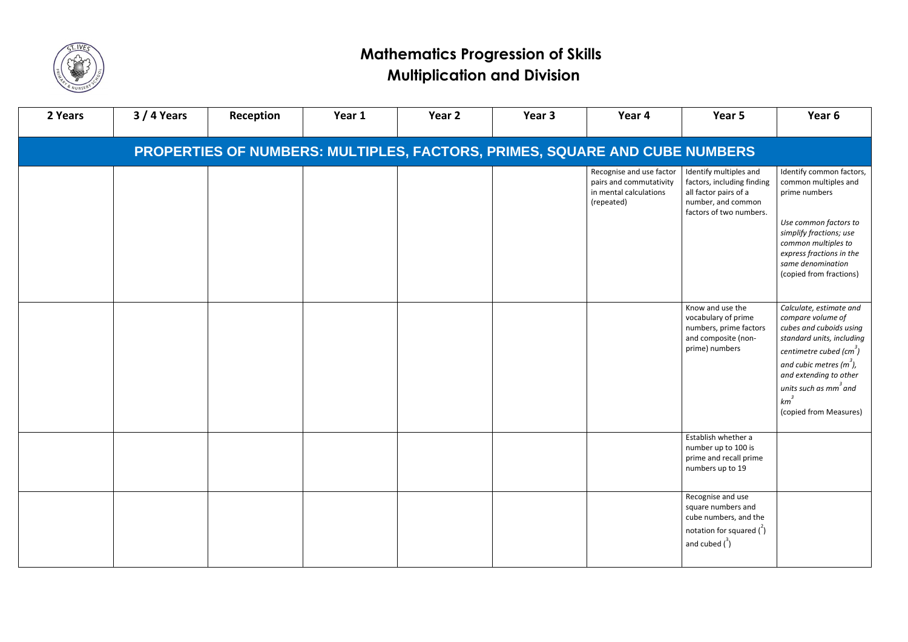

| 2 Years                                                                    | $3/4$ Years | Reception | Year 1 | Year 2 | Year 3 | Year 4                                                                                      | Year 5                                                                                                                              | Year 6                                                                                                                                                                                                                                                                              |  |  |
|----------------------------------------------------------------------------|-------------|-----------|--------|--------|--------|---------------------------------------------------------------------------------------------|-------------------------------------------------------------------------------------------------------------------------------------|-------------------------------------------------------------------------------------------------------------------------------------------------------------------------------------------------------------------------------------------------------------------------------------|--|--|
| PROPERTIES OF NUMBERS: MULTIPLES, FACTORS, PRIMES, SQUARE AND CUBE NUMBERS |             |           |        |        |        |                                                                                             |                                                                                                                                     |                                                                                                                                                                                                                                                                                     |  |  |
|                                                                            |             |           |        |        |        | Recognise and use factor<br>pairs and commutativity<br>in mental calculations<br>(repeated) | Identify multiples and<br>factors, including finding<br>all factor pairs of a<br>number, and common<br>factors of two numbers.      | Identify common factors,<br>common multiples and<br>prime numbers                                                                                                                                                                                                                   |  |  |
|                                                                            |             |           |        |        |        |                                                                                             |                                                                                                                                     | Use common factors to<br>simplify fractions; use<br>common multiples to<br>express fractions in the<br>same denomination<br>(copied from fractions)                                                                                                                                 |  |  |
|                                                                            |             |           |        |        |        |                                                                                             | Know and use the<br>vocabulary of prime<br>numbers, prime factors<br>and composite (non-<br>prime) numbers                          | Calculate, estimate and<br>compare volume of<br>cubes and cuboids using<br>standard units, including<br>centimetre cubed $\left(\text{cm}^3\right)$<br>and cubic metres $(m3)$ ,<br>and extending to other<br>units such as mm <sup>3</sup> and<br>$km^3$<br>(copied from Measures) |  |  |
|                                                                            |             |           |        |        |        |                                                                                             | Establish whether a<br>number up to 100 is<br>prime and recall prime<br>numbers up to 19                                            |                                                                                                                                                                                                                                                                                     |  |  |
|                                                                            |             |           |        |        |        |                                                                                             | Recognise and use<br>square numbers and<br>cube numbers, and the<br>notation for squared $\binom{2}{1}$<br>and cubed $\binom{3}{1}$ |                                                                                                                                                                                                                                                                                     |  |  |